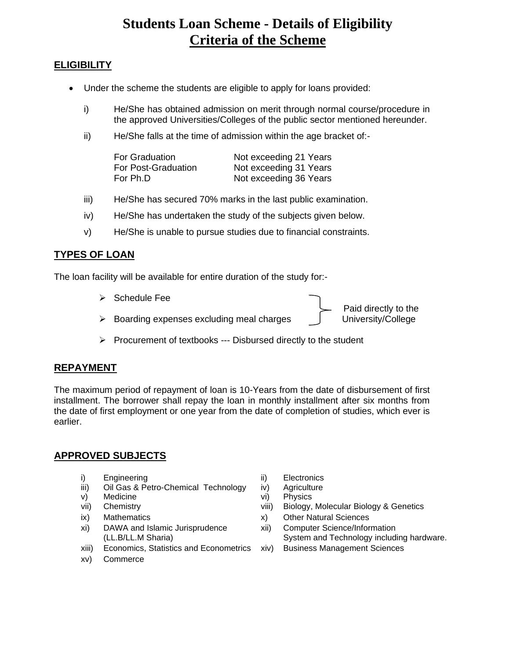# **Students Loan Scheme - Details of Eligibility Criteria of the Scheme**

# **ELIGIBILITY**

- Under the scheme the students are eligible to apply for loans provided:
	- i) He/She has obtained admission on merit through normal course/procedure in the approved Universities/Colleges of the public sector mentioned hereunder.
	- ii) He/She falls at the time of admission within the age bracket of:-

| For Graduation      | Not exceeding 21 Years |
|---------------------|------------------------|
| For Post-Graduation | Not exceeding 31 Years |
| For Ph.D            | Not exceeding 36 Years |

- iii) He/She has secured 70% marks in the last public examination.
- iv) He/She has undertaken the study of the subjects given below.
- v) He/She is unable to pursue studies due to financial constraints.

## **TYPES OF LOAN**

The loan facility will be available for entire duration of the study for:-

- ➢ Schedule Fee Paid directly to the ➢ Boarding expenses excluding meal charges University/College
- ➢ Procurement of textbooks --- Disbursed directly to the student

### **REPAYMENT**

The maximum period of repayment of loan is 10-Years from the date of disbursement of first installment. The borrower shall repay the loan in monthly installment after six months from the date of first employment or one year from the date of completion of studies, which ever is earlier.

### **APPROVED SUBJECTS**

- i) Engineering iii) Electronics
- iii) Oil Gas & Petro-Chemical Technology iv) Agriculture
- v) Medicine vi) Physics
- 
- 
- xi) DAWA and Islamic Jurisprudence (LL.B/LL.M Sharia)
- xiii) Economics, Statistics and Econometrics xiv) Business Management Sciences
- xv) Commerce
- 
- 
- 
- vii) Chemistry viii) Biology, Molecular Biology & Genetics
- ix) Mathematics x) Other Natural Sciences
	- xii) Computer Science/Information System and Technology including hardware.
		-